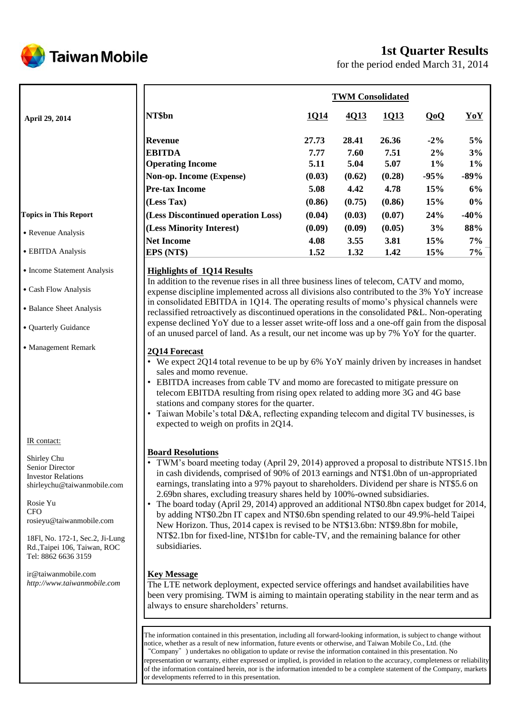

# **1st Quarter Results**

for the period ended March 31, 2014

|                              |                                    | <b>TWM Consolidated</b> |        |        |        |        |  |  |  |
|------------------------------|------------------------------------|-------------------------|--------|--------|--------|--------|--|--|--|
| <b>April 29, 2014</b>        | NT\$bn                             | 1Q14                    | 4Q13   | 1Q13   | QoQ    | YoY    |  |  |  |
|                              | <b>Revenue</b>                     | 27.73                   | 28.41  | 26.36  | $-2\%$ | 5%     |  |  |  |
|                              | <b>EBITDA</b>                      | 7.77                    | 7.60   | 7.51   | 2%     | 3%     |  |  |  |
|                              | <b>Operating Income</b>            | 5.11                    | 5.04   | 5.07   | $1\%$  | $1\%$  |  |  |  |
|                              | Non-op. Income (Expense)           | (0.03)                  | (0.62) | (0.28) | $-95%$ | $-89%$ |  |  |  |
|                              | <b>Pre-tax Income</b>              | 5.08                    | 4.42   | 4.78   | 15%    | 6%     |  |  |  |
|                              | (Less Tax)                         | (0.86)                  | (0.75) | (0.86) | 15%    | 0%     |  |  |  |
| <b>Fopics in This Report</b> | (Less Discontinued operation Loss) | (0.04)                  | (0.03) | (0.07) | 24%    | $-40%$ |  |  |  |
|                              | (Less Minority Interest)           | (0.09)                  | (0.09) | (0.05) | 3%     | 88%    |  |  |  |
| • Revenue Analysis           | <b>Net Income</b>                  | 4.08                    | 3.55   | 3.81   | 15%    | 7%     |  |  |  |
| • EBITDA Analysis            | EPS (NT\$)                         | 1.52                    | 1.32   | 1.42   | 15%    | 7%     |  |  |  |

### **Highlights of 1Q14 Results**

In addition to the revenue rises in all three business lines of telecom, CATV and momo, expense discipline implemented across all divisions also contributed to the 3% YoY increase in consolidated EBITDA in 1Q14. The operating results of momo's physical channels were reclassified retroactively as discontinued operations in the consolidated P&L. Non-operating expense declined YoY due to a lesser asset write-off loss and a one-off gain from the disposal of an unused parcel of land. As a result, our net income was up by 7% YoY for the quarter.

### **2Q14 Forecast**

- We expect 2Q14 total revenue to be up by 6% YoY mainly driven by increases in handset sales and momo revenue.
- EBITDA increases from cable TV and momo are forecasted to mitigate pressure on telecom EBITDA resulting from rising opex related to adding more 3G and 4G base stations and company stores for the quarter.
- Taiwan Mobile's total D&A, reflecting expanding telecom and digital TV businesses, is expected to weigh on profits in 2Q14.

### **Board Resolutions**

- TWM's board meeting today (April 29, 2014) approved a proposal to distribute NT\$15.1bn in cash dividends, comprised of 90% of 2013 earnings and NT\$1.0bn of un-appropriated earnings, translating into a 97% payout to shareholders. Dividend per share is NT\$5.6 on 2.69bn shares, excluding treasury shares held by 100%-owned subsidiaries.
	- The board today (April 29, 2014) approved an additional NT\$0.8bn capex budget for 2014, by adding NT\$0.2bn IT capex and NT\$0.6bn spending related to our 49.9%-held Taipei New Horizon. Thus, 2014 capex is revised to be NT\$13.6bn: NT\$9.8bn for mobile, NT\$2.1bn for fixed-line, NT\$1bn for cable-TV, and the remaining balance for other subsidiaries.

### **Key Message**

The LTE network deployment, expected service offerings and handset availabilities have been very promising. TWM is aiming to maintain operating stability in the near term and as always to ensure shareholders' returns.

The information contained in this presentation, including all forward-looking information, is subject to change without notice, whether as a result of new information, future events or otherwise, and Taiwan Mobile Co., Ltd. (the "Company") undertakes no obligation to update or revise the information contained in this presentation. No representation or warranty, either expressed or implied, is provided in relation to the accuracy, completeness or reliability of the information contained herein, nor is the information intended to be a complete statement of the Company, markets or developments referred to in this presentation.

#### **To**

- ˙EBITDA Analysis
- Income Statement Analysis
- ˙Cash Flow Analysis
- ˙Balance Sheet Analysis
- ˙Quarterly Guidance
- ˙Management Remark

IR contact:

Shirley Chu Senior Director Investor Relations shirleychu@taiwanmobile.com

Rosie Yu **CFO** rosieyu@taiwanmobile.com

18Fl, No. 172-1, Sec.2, Ji-Lung Rd.,Taipei 106, Taiwan, ROC Tel: 8862 6636 3159

ir@taiwanmobile.com *http://www.taiwanmobile.com*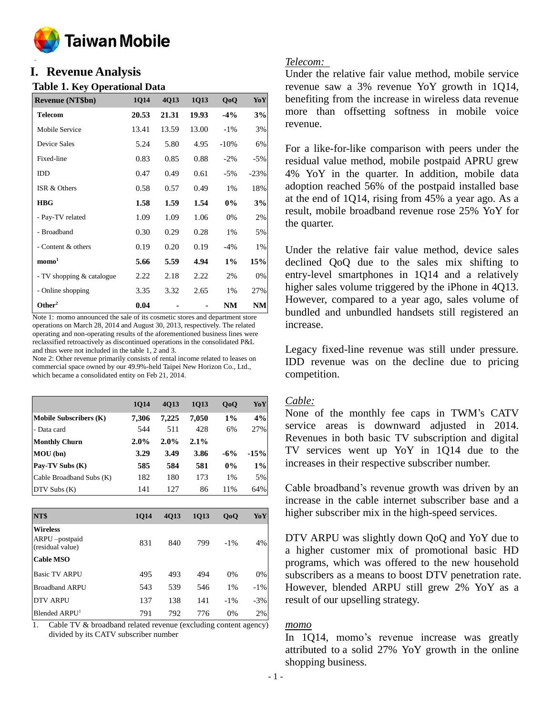

#### **o I. Revenue Analysis**

### **Table 1. Key Operational Data**

| <b>Revenue (NT\$bn)</b>   | 1Q14  | 4Q13  | 1Q13  | QoQ    | YoY    |
|---------------------------|-------|-------|-------|--------|--------|
| <b>Telecom</b>            | 20.53 | 21.31 | 19.93 | $-4\%$ | 3%     |
| Mobile Service            | 13.41 | 13.59 | 13.00 | $-1\%$ | 3%     |
| Device Sales              | 5.24  | 5.80  | 4.95  | $-10%$ | 6%     |
| Fixed-line                | 0.83  | 0.85  | 0.88  | $-2\%$ | $-5%$  |
| <b>IDD</b>                | 0.47  | 0.49  | 0.61  | $-5%$  | $-23%$ |
| ISR & Others              | 0.58  | 0.57  | 0.49  | 1%     | 18%    |
| <b>HBG</b>                | 1.58  | 1.59  | 1.54  | $0\%$  | 3%     |
| - Pay-TV related          | 1.09  | 1.09  | 1.06  | 0%     | 2%     |
| - Broadband               | 0.30  | 0.29  | 0.28  | 1%     | 5%     |
| - Content & others        | 0.19  | 0.20  | 0.19  | $-4%$  | 1%     |
| $\mathbf{mono}^1$         | 5.66  | 5.59  | 4.94  | $1\%$  | 15%    |
| - TV shopping & catalogue | 2.22  | 2.18  | 2.22  | 2%     | 0%     |
| - Online shopping         | 3.35  | 3.32  | 2.65  | 1%     | 27%    |
| Other <sup>2</sup>        | 0.04  |       |       | NM     | NM     |

Note 1: momo announced the sale of its cosmetic stores and department store operations on March 28, 2014 and August 30, 2013, respectively. The related operating and non-operating results of the aforementioned business lines were reclassified retroactively as discontinued operations in the consolidated P&L and thus were not included in the table 1, 2 and 3.

Note 2: Other revenue primarily consists of rental income related to leases on commercial space owned by our 49.9%-held Taipei New Horizon Co., Ltd., which became a consolidated entity on Feb 21, 2014.

|                               | <b>1014</b> | 4013  | 1013    | QoQ   | YoY    |
|-------------------------------|-------------|-------|---------|-------|--------|
| <b>Mobile Subscribers (K)</b> | 7.306       | 7,225 | 7.050   | $1\%$ | 4%     |
| - Data card                   | 544         | 511   | 428     | 6%    | 27%    |
| <b>Monthly Churn</b>          | $2.0\%$     | 2.0%  | $2.1\%$ |       |        |
| MOU(bn)                       | 3.29        | 3.49  | 3.86    | $-6%$ | $-15%$ |
| Pay-TV Subs (K)               | 585         | 584   | 581     | $0\%$ | $1\%$  |
| Cable Broadband Subs (K)      | 182         | 180   | 173     | 1%    | 5%     |
| $DTV$ Subs $(K)$              | 141         | 127   | 86      | 11%   | 64%    |

| NT\$                                                 | <b>1014</b> | 4013 | 1013 | QoQ    | YoY    |
|------------------------------------------------------|-------------|------|------|--------|--------|
| <b>Wireless</b><br>ARPU-postpaid<br>(residual value) | 831         | 840  | 799  | $-1\%$ | 4%     |
| <b>Cable MSO</b>                                     |             |      |      |        |        |
| <b>Basic TV ARPU</b>                                 | 495         | 493  | 494  | 0%     | 0%     |
| <b>Broadband ARPU</b>                                | 543         | 539  | 546  | 1%     | $-1\%$ |
| <b>DTV ARPU</b>                                      | 137         | 138  | 141  | $-1\%$ | $-3%$  |
| Blended ARPU <sup>1</sup>                            | 791         | 792  | 776  | 0%     | 2%     |

1. Cable TV & broadband related revenue (excluding content agency) divided by its CATV subscriber number

### *Telecom:*

Under the relative fair value method, mobile service revenue saw a 3% revenue YoY growth in 1Q14, benefiting from the increase in wireless data revenue more than offsetting softness in mobile voice revenue.

For a like-for-like comparison with peers under the residual value method, mobile postpaid APRU grew 4% YoY in the quarter. In addition, mobile data adoption reached 56% of the postpaid installed base at the end of 1Q14, rising from 45% a year ago. As a result, mobile broadband revenue rose 25% YoY for the quarter.

Under the relative fair value method, device sales declined QoQ due to the sales mix shifting to entry-level smartphones in 1Q14 and a relatively higher sales volume triggered by the iPhone in 4Q13. However, compared to a year ago, sales volume of bundled and unbundled handsets still registered an increase.

Legacy fixed-line revenue was still under pressure. IDD revenue was on the decline due to pricing competition.

### *Cable:*

None of the monthly fee caps in TWM's CATV service areas is downward adjusted in 2014. Revenues in both basic TV subscription and digital TV services went up YoY in 1Q14 due to the increases in their respective subscriber number.

Cable broadband's revenue growth was driven by an increase in the cable internet subscriber base and a higher subscriber mix in the high-speed services.

DTV ARPU was slightly down QoQ and YoY due to a higher customer mix of promotional basic HD programs, which was offered to the new household subscribers as a means to boost DTV penetration rate. However, blended ARPU still grew 2% YoY as a result of our upselling strategy.

### *momo*

In 1Q14, momo's revenue increase was greatly attributed to a solid 27% YoY growth in the online shopping business.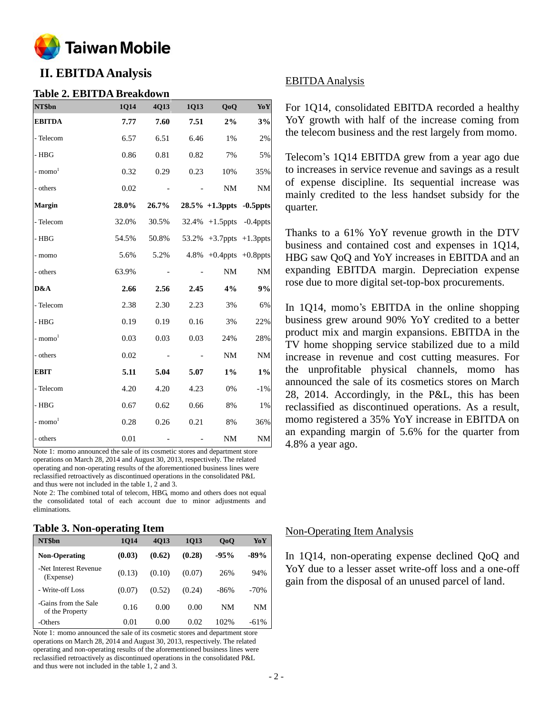

# **II. EBITDA Analysis**

#### **Table 2. EBITDA Breakdown**

| NT\$bn                | 1Q14  | 4Q13  | 1Q13 | QoQ                                        | YoY           |
|-----------------------|-------|-------|------|--------------------------------------------|---------------|
| <b>EBITDA</b>         | 7.77  | 7.60  | 7.51 | 2%                                         | 3%            |
| - Telecom             | 6.57  | 6.51  | 6.46 | 1%                                         | $2\%$         |
| $-$ HBG               | 0.86  | 0.81  | 0.82 | 7%                                         | 5%            |
| $-$ momo <sup>1</sup> | 0.32  | 0.29  | 0.23 | 10%                                        | 35%           |
| - others              | 0.02  |       |      | $\rm{NM}$                                  | $\rm{NM}$     |
| Margin                | 28.0% | 26.7% |      | $28.5\% + 1.3$ ppts -0.5ppts               |               |
| - Telecom             | 32.0% | 30.5% |      | 32.4% +1.5ppts -0.4ppts                    |               |
| $-$ HBG               | 54.5% | 50.8% |      | $53.2\% +3.7 \text{ppts} +1.3 \text{ppts}$ |               |
| - momo                | 5.6%  | 5.2%  |      | $4.8\% +0.4$ ppts $+0.8$ ppts              |               |
| - others              | 63.9% |       |      | NM                                         | $\mathbf{NM}$ |
| D&A                   | 2.66  | 2.56  | 2.45 | 4%                                         | $9\%$         |
| - Telecom             | 2.38  | 2.30  | 2.23 | 3%                                         | 6%            |
| $-$ HBG               | 0.19  | 0.19  | 0.16 | 3%                                         | 22%           |
| $-$ momo <sup>1</sup> | 0.03  | 0.03  | 0.03 | 24%                                        | 28%           |
| - others              | 0.02  |       |      | $\rm{NM}$                                  | $\rm{NM}$     |
| EBIT                  | 5.11  | 5.04  | 5.07 | $1\%$                                      | $1\%$         |
| - Telecom             | 4.20  | 4.20  | 4.23 | 0%                                         | $-1\%$        |
| $-$ HBG               | 0.67  | 0.62  | 0.66 | 8%                                         | $1\%$         |
| $-$ momo $1$          | 0.28  | 0.26  | 0.21 | $8\%$                                      | 36%           |
| - others              | 0.01  |       |      | $\rm{NM}$                                  | $\rm{NM}$     |

Note 1: momo announced the sale of its cosmetic stores and department store operations on March 28, 2014 and August 30, 2013, respectively. The related operating and non-operating results of the aforementioned business lines were reclassified retroactively as discontinued operations in the consolidated P&L and thus were not included in the table 1, 2 and 3.

Note 2: The combined total of telecom, HBG, momo and others does not equal the consolidated total of each account due to minor adjustments and eliminations.

#### **Table 3. Non-operating Item**

|                                         | -           |        |        |                |        |
|-----------------------------------------|-------------|--------|--------|----------------|--------|
| NT\$bn                                  | <b>1014</b> | 4013   | 1013   | 0 <sub>0</sub> | YoY    |
| <b>Non-Operating</b>                    | (0.03)      | (0.62) | (0.28) | $-95%$         | $-89%$ |
| -Net Interest Revenue<br>(Expense)      | (0.13)      | (0.10) | (0.07) | 26%            | 94%    |
| - Write-off Loss                        | (0.07)      | (0.52) | (0.24) | $-86%$         | $-70%$ |
| -Gains from the Sale<br>of the Property | 0.16        | 0.00   | 0.00   | NΜ             | NΜ     |
| -Others                                 | 0.01        | 0.00   | 0.02   | 102%           | $-61%$ |

Note 1: momo announced the sale of its cosmetic stores and department store operations on March 28, 2014 and August 30, 2013, respectively. The related operating and non-operating results of the aforementioned business lines were reclassified retroactively as discontinued operations in the consolidated P&L and thus were not included in the table 1, 2 and 3.

### EBITDA Analysis

For 1Q14, consolidated EBITDA recorded a healthy YoY growth with half of the increase coming from the telecom business and the rest largely from momo.

Telecom's 1Q14 EBITDA grew from a year ago due to increases in service revenue and savings as a result of expense discipline. Its sequential increase was mainly credited to the less handset subsidy for the quarter.

Thanks to a 61% YoY revenue growth in the DTV business and contained cost and expenses in 1Q14, HBG saw QoQ and YoY increases in EBITDA and an expanding EBITDA margin. Depreciation expense rose due to more digital set-top-box procurements.

In 1Q14, momo's EBITDA in the online shopping business grew around 90% YoY credited to a better product mix and margin expansions. EBITDA in the TV home shopping service stabilized due to a mild increase in revenue and cost cutting measures. For the unprofitable physical channels, momo has announced the sale of its cosmetics stores on March 28, 2014. Accordingly, in the P&L, this has been reclassified as discontinued operations. As a result, momo registered a 35% YoY increase in EBITDA on an expanding margin of 5.6% for the quarter from 4.8% a year ago.

### Non-Operating Item Analysis

In 1Q14, non-operating expense declined QoQ and YoY due to a lesser asset write-off loss and a one-off gain from the disposal of an unused parcel of land.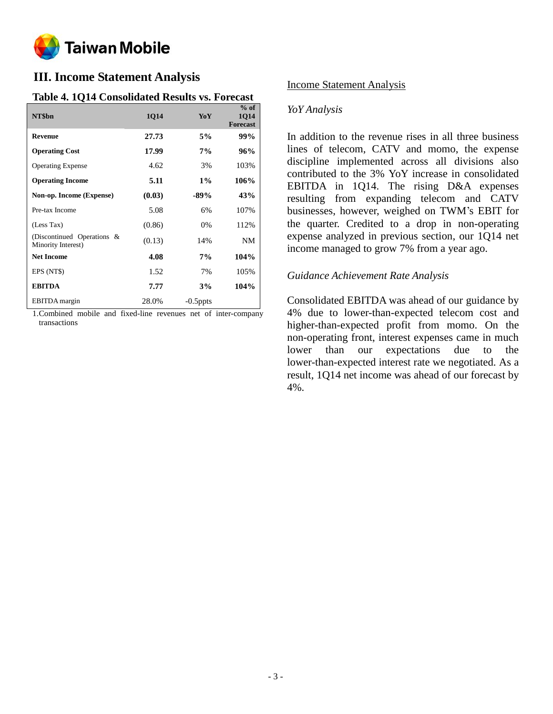

# **III. Income Statement Analysis**

## **Table 4. 1Q14 Consolidated Results vs. Forecast**

| NT\$bn                                           | 1Q14   | YoY         | $%$ of<br><b>1014</b><br><b>Forecast</b> |
|--------------------------------------------------|--------|-------------|------------------------------------------|
| <b>Revenue</b>                                   | 27.73  | 5%          | 99%                                      |
| <b>Operating Cost</b>                            | 17.99  | 7%          | 96%                                      |
| <b>Operating Expense</b>                         | 4.62   | 3%          | 103%                                     |
| <b>Operating Income</b>                          | 5.11   | $1\%$       | 106%                                     |
| Non-op. Income (Expense)                         | (0.03) | $-89%$      | 43%                                      |
| Pre-tax Income                                   | 5.08   | 6%          | 107%                                     |
| (Less Tax)                                       | (0.86) | 0%          | 112%                                     |
| (Discontinued Operations &<br>Minority Interest) | (0.13) | 14%         | NM                                       |
| <b>Net Income</b>                                | 4.08   | 7%          | 104%                                     |
| EPS (NT\$)                                       | 1.52   | 7%          | 105%                                     |
| <b>EBITDA</b>                                    | 7.77   | 3%          | 104%                                     |
| <b>EBITDA</b> margin                             | 28.0%  | $-0.5$ ppts |                                          |

1.Combined mobile and fixed-line revenues net of inter-company transactions

## Income Statement Analysis

## *YoY Analysis*

In addition to the revenue rises in all three business lines of telecom, CATV and momo, the expense discipline implemented across all divisions also contributed to the 3% YoY increase in consolidated EBITDA in 1Q14. The rising D&A expenses resulting from expanding telecom and CATV businesses, however, weighed on TWM's EBIT for the quarter. Credited to a drop in non-operating expense analyzed in previous section, our 1Q14 net income managed to grow 7% from a year ago.

### *Guidance Achievement Rate Analysis*

Consolidated EBITDA was ahead of our guidance by 4% due to lower-than-expected telecom cost and higher-than-expected profit from momo. On the non-operating front, interest expenses came in much lower than our expectations due to the lower-than-expected interest rate we negotiated. As a result, 1Q14 net income was ahead of our forecast by 4%.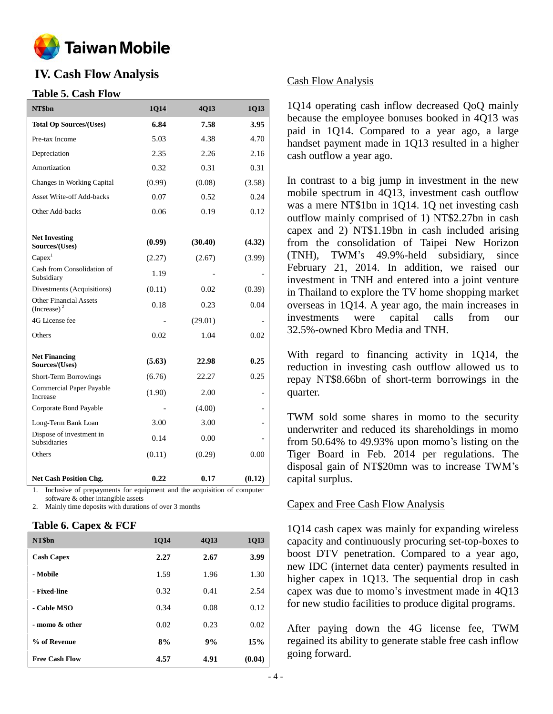

# **IV. Cash Flow Analysis**

### **Table 5. Cash Flow**

| NT\$bn                                          | 1Q14   | 4Q13    | 1Q13   |
|-------------------------------------------------|--------|---------|--------|
| <b>Total Op Sources/(Uses)</b>                  | 6.84   | 7.58    | 3.95   |
| Pre-tax Income                                  | 5.03   | 4.38    | 4.70   |
| Depreciation                                    | 2.35   | 2.26    | 2.16   |
| Amortization                                    | 0.32   | 0.31    | 0.31   |
| Changes in Working Capital                      | (0.99) | (0.08)  | (3.58) |
| <b>Asset Write-off Add-backs</b>                | 0.07   | 0.52    | 0.24   |
| Other Add-backs                                 | 0.06   | 0.19    | 0.12   |
|                                                 |        |         |        |
| <b>Net Investing</b><br>Sources/(Uses)          | (0.99) | (30.40) | (4.32) |
| Capex <sup>1</sup>                              | (2.27) | (2.67)  | (3.99) |
| Cash from Consolidation of<br>Subsidiary        | 1.19   |         |        |
| Divestments (Acquisitions)                      | (0.11) | 0.02    | (0.39) |
| <b>Other Financial Assets</b><br>(Increase) $2$ | 0.18   | 0.23    | 0.04   |
| 4G License fee                                  |        | (29.01) |        |
| Others                                          | 0.02   | 1.04    | 0.02   |
| <b>Net Financing</b><br>Sources/(Uses)          | (5.63) | 22.98   | 0.25   |
| Short-Term Borrowings                           | (6.76) | 22.27   | 0.25   |
| Commercial Paper Payable<br>Increase            | (1.90) | 2.00    |        |
| Corporate Bond Payable                          |        | (4.00)  |        |
| Long-Term Bank Loan                             | 3.00   | 3.00    |        |
| Dispose of investment in<br><b>Subsidiaries</b> | 0.14   | 0.00    |        |
| Others                                          | (0.11) | (0.29)  | 0.00   |
| <b>Net Cash Position Chg.</b>                   | 0.22   | 0.17    | (0.12) |

1. Inclusive of prepayments for equipment and the acquisition of computer software & other intangible assets

Mainly time deposits with durations of over 3 months

### **Table 6. Capex & FCF**

| NT\$bn                | 1Q14 | 4Q13 | 1Q13   |
|-----------------------|------|------|--------|
| <b>Cash Capex</b>     | 2.27 | 2.67 | 3.99   |
| - Mobile              | 1.59 | 1.96 | 1.30   |
| - Fixed-line          | 0.32 | 0.41 | 2.54   |
| - Cable MSO           | 0.34 | 0.08 | 0.12   |
| - momo & other        | 0.02 | 0.23 | 0.02   |
| % of Revenue          | 8%   | 9%   | 15%    |
| <b>Free Cash Flow</b> | 4.57 | 4.91 | (0.04) |

### Cash Flow Analysis

1Q14 operating cash inflow decreased QoQ mainly because the employee bonuses booked in 4Q13 was paid in 1Q14. Compared to a year ago, a large handset payment made in 1Q13 resulted in a higher cash outflow a year ago.

In contrast to a big jump in investment in the new mobile spectrum in 4Q13, investment cash outflow was a mere NT\$1bn in 1Q14. 1Q net investing cash outflow mainly comprised of 1) NT\$2.27bn in cash capex and 2) NT\$1.19bn in cash included arising from the consolidation of Taipei New Horizon (TNH), TWM's 49.9%-held subsidiary, since February 21, 2014. In addition, we raised our investment in TNH and entered into a joint venture in Thailand to explore the TV home shopping market overseas in 1Q14. A year ago, the main increases in investments were capital calls from our 32.5%-owned Kbro Media and TNH.

With regard to financing activity in 1Q14, the reduction in investing cash outflow allowed us to repay NT\$8.66bn of short-term borrowings in the quarter.

TWM sold some shares in momo to the security underwriter and reduced its shareholdings in momo from 50.64% to 49.93% upon momo's listing on the Tiger Board in Feb. 2014 per regulations. The disposal gain of NT\$20mn was to increase TWM's capital surplus.

### Capex and Free Cash Flow Analysis

1Q14 cash capex was mainly for expanding wireless capacity and continuously procuring set-top-boxes to boost DTV penetration. Compared to a year ago, new IDC (internet data center) payments resulted in higher capex in 1Q13. The sequential drop in cash capex was due to momo's investment made in 4Q13 for new studio facilities to produce digital programs.

After paying down the 4G license fee, TWM regained its ability to generate stable free cash inflow going forward.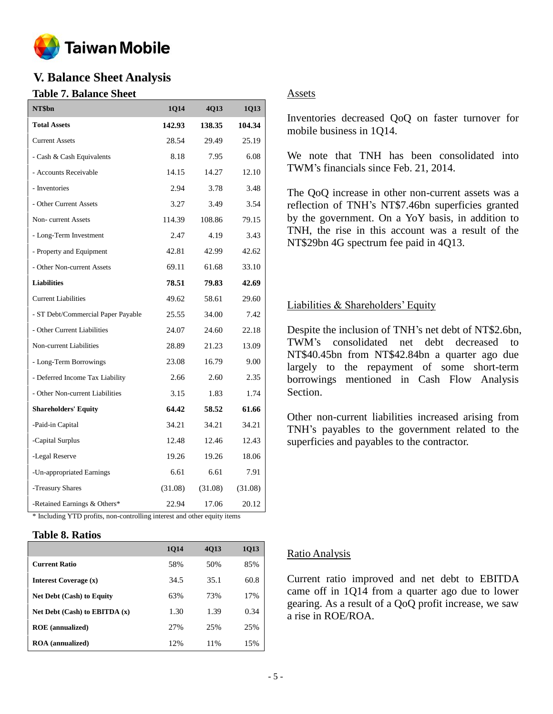

# **V. Balance Sheet Analysis**

## **Table 7. Balance Sheet**

| NT\$bn                                                                   | 1Q14    | 4Q13    | 1Q13    |  |  |
|--------------------------------------------------------------------------|---------|---------|---------|--|--|
| <b>Total Assets</b>                                                      | 142.93  | 138.35  | 104.34  |  |  |
| <b>Current Assets</b>                                                    | 28.54   | 29.49   | 25.19   |  |  |
| - Cash & Cash Equivalents                                                | 8.18    | 7.95    | 6.08    |  |  |
| - Accounts Receivable                                                    | 14.15   | 14.27   | 12.10   |  |  |
| - Inventories                                                            | 2.94    | 3.78    | 3.48    |  |  |
| - Other Current Assets                                                   | 3.27    | 3.49    | 3.54    |  |  |
| Non-current Assets                                                       | 114.39  | 108.86  | 79.15   |  |  |
| - Long-Term Investment                                                   | 2.47    | 4.19    | 3.43    |  |  |
| - Property and Equipment                                                 | 42.81   | 42.99   | 42.62   |  |  |
| - Other Non-current Assets                                               | 69.11   | 61.68   | 33.10   |  |  |
| <b>Liabilities</b>                                                       | 78.51   | 79.83   | 42.69   |  |  |
| <b>Current Liabilities</b>                                               | 49.62   | 58.61   | 29.60   |  |  |
| - ST Debt/Commercial Paper Payable                                       | 25.55   | 34.00   | 7.42    |  |  |
| - Other Current Liabilities                                              | 24.07   | 24.60   | 22.18   |  |  |
| Non-current Liabilities                                                  | 28.89   | 21.23   | 13.09   |  |  |
| - Long-Term Borrowings                                                   | 23.08   | 16.79   | 9.00    |  |  |
| - Deferred Income Tax Liability                                          | 2.66    | 2.60    | 2.35    |  |  |
| - Other Non-current Liabilities                                          | 3.15    | 1.83    | 1.74    |  |  |
| <b>Shareholders' Equity</b>                                              | 64.42   | 58.52   | 61.66   |  |  |
| -Paid-in Capital                                                         | 34.21   | 34.21   | 34.21   |  |  |
| -Capital Surplus                                                         | 12.48   | 12.46   | 12.43   |  |  |
| -Legal Reserve                                                           | 19.26   | 19.26   | 18.06   |  |  |
| -Un-appropriated Earnings                                                | 6.61    | 6.61    | 7.91    |  |  |
| -Treasury Shares                                                         | (31.08) | (31.08) | (31.08) |  |  |
| -Retained Earnings & Others*                                             | 22.94   | 17.06   | 20.12   |  |  |
| * Including YTD profits, non-controlling interest and other equity items |         |         |         |  |  |

### **Table 8. Ratios**

|                                   | <b>1014</b> | 4013 | 1013 |
|-----------------------------------|-------------|------|------|
| <b>Current Ratio</b>              | 58%         | 50%  | 85%  |
| <b>Interest Coverage (x)</b>      | 34.5        | 35.1 | 60.8 |
| <b>Net Debt (Cash) to Equity</b>  | 63%         | 73%  | 17%  |
| Net Debt $(Cash)$ to EBITDA $(x)$ | 1.30        | 1.39 | 0.34 |
| <b>ROE</b> (annualized)           | 27%         | 25%  | 25%  |
| <b>ROA</b> (annualized)           | 12%         | 11%  | 15%  |

## Assets

Inventories decreased QoQ on faster turnover for mobile business in 1Q14.

We note that TNH has been consolidated into TWM's financials since Feb. 21, 2014.

The QoQ increase in other non-current assets was a reflection of TNH's NT\$7.46bn superficies granted by the government. On a YoY basis, in addition to TNH, the rise in this account was a result of the NT\$29bn 4G spectrum fee paid in 4Q13.

## Liabilities & Shareholders' Equity

Despite the inclusion of TNH's net debt of NT\$2.6bn, TWM's consolidated net debt decreased to NT\$40.45bn from NT\$42.84bn a quarter ago due largely to the repayment of some short-term borrowings mentioned in Cash Flow Analysis Section.

Other non-current liabilities increased arising from TNH's payables to the government related to the superficies and payables to the contractor.

### Ratio Analysis

Current ratio improved and net debt to EBITDA came off in 1Q14 from a quarter ago due to lower gearing. As a result of a QoQ profit increase, we saw a rise in ROE/ROA.